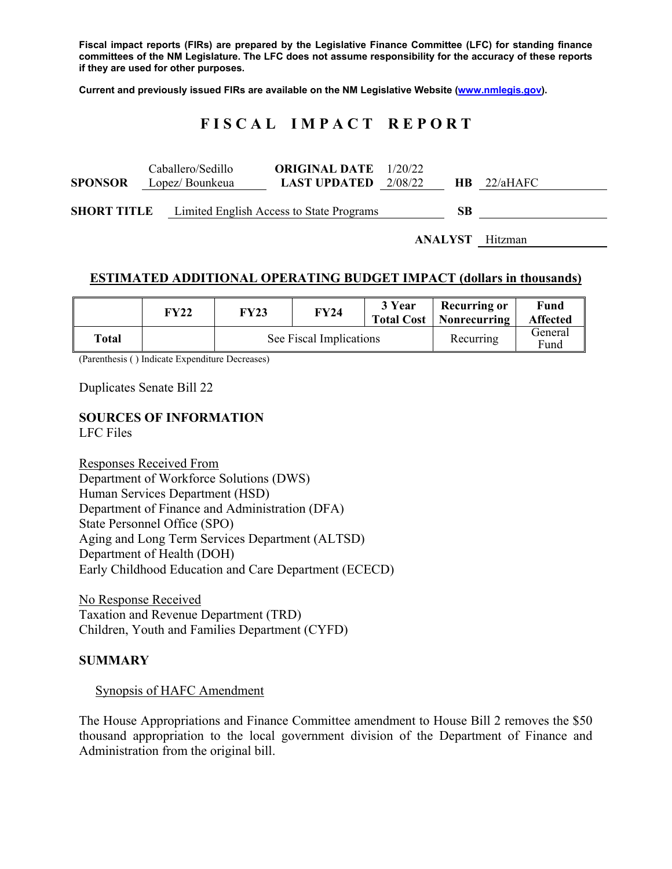**Fiscal impact reports (FIRs) are prepared by the Legislative Finance Committee (LFC) for standing finance committees of the NM Legislature. The LFC does not assume responsibility for the accuracy of these reports if they are used for other purposes.** 

**Current and previously issued FIRs are available on the NM Legislative Website (www.nmlegis.gov).** 

# **F I S C A L I M P A C T R E P O R T**

| <b>SPONSOR</b>     | Caballero/Sedillo<br>Lopez/ Bounkeua     | <b>ORIGINAL DATE</b> 1/20/22<br><b>LAST UPDATED</b> | 2/08/22 | <b>HB</b> | 22/aHAFC |
|--------------------|------------------------------------------|-----------------------------------------------------|---------|-----------|----------|
| <b>SHORT TITLE</b> | Limited English Access to State Programs | SВ                                                  |         |           |          |

**ANALYST** Hitzman

#### **ESTIMATED ADDITIONAL OPERATING BUDGET IMPACT (dollars in thousands)**

|       | FY22 | <b>FY23</b>             | FY24 | 3 Year | <b>Recurring or</b><br>Total Cost   Nonrecurring | Fund<br><b>Affected</b> |
|-------|------|-------------------------|------|--------|--------------------------------------------------|-------------------------|
| Total |      | See Fiscal Implications |      |        | Recurring                                        | General<br>Fund         |

(Parenthesis ( ) Indicate Expenditure Decreases)

Duplicates Senate Bill 22

## **SOURCES OF INFORMATION**

LFC Files

Responses Received From Department of Workforce Solutions (DWS) Human Services Department (HSD) Department of Finance and Administration (DFA) State Personnel Office (SPO) Aging and Long Term Services Department (ALTSD) Department of Health (DOH) Early Childhood Education and Care Department (ECECD)

No Response Received Taxation and Revenue Department (TRD) Children, Youth and Families Department (CYFD)

#### **SUMMARY**

Synopsis of HAFC Amendment

The House Appropriations and Finance Committee amendment to House Bill 2 removes the \$50 thousand appropriation to the local government division of the Department of Finance and Administration from the original bill.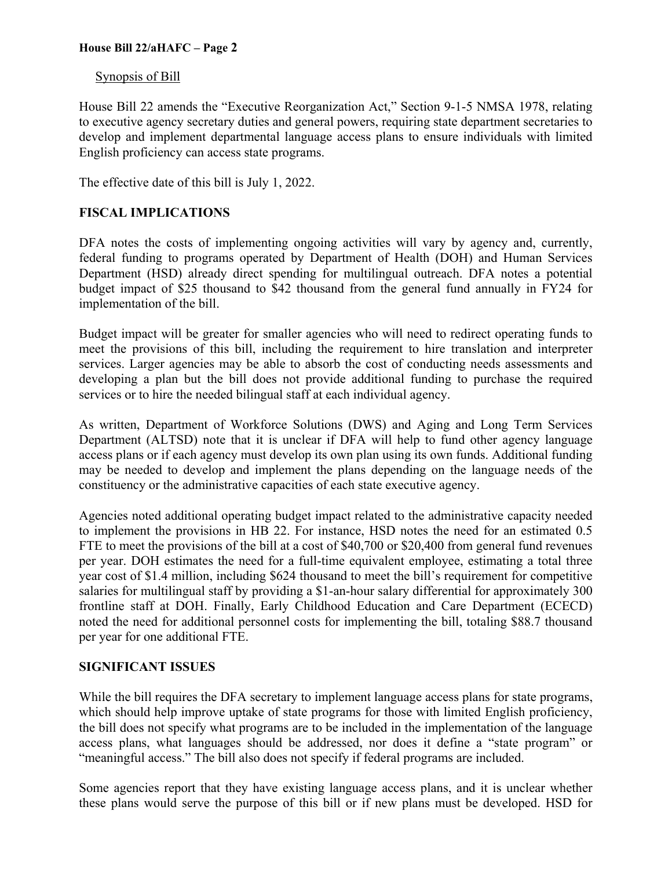### **House Bill 22/aHAFC – Page 2**

### Synopsis of Bill

House Bill 22 amends the "Executive Reorganization Act," Section 9-1-5 NMSA 1978, relating to executive agency secretary duties and general powers, requiring state department secretaries to develop and implement departmental language access plans to ensure individuals with limited English proficiency can access state programs.

The effective date of this bill is July 1, 2022.

## **FISCAL IMPLICATIONS**

DFA notes the costs of implementing ongoing activities will vary by agency and, currently, federal funding to programs operated by Department of Health (DOH) and Human Services Department (HSD) already direct spending for multilingual outreach. DFA notes a potential budget impact of \$25 thousand to \$42 thousand from the general fund annually in FY24 for implementation of the bill.

Budget impact will be greater for smaller agencies who will need to redirect operating funds to meet the provisions of this bill, including the requirement to hire translation and interpreter services. Larger agencies may be able to absorb the cost of conducting needs assessments and developing a plan but the bill does not provide additional funding to purchase the required services or to hire the needed bilingual staff at each individual agency.

As written, Department of Workforce Solutions (DWS) and Aging and Long Term Services Department (ALTSD) note that it is unclear if DFA will help to fund other agency language access plans or if each agency must develop its own plan using its own funds. Additional funding may be needed to develop and implement the plans depending on the language needs of the constituency or the administrative capacities of each state executive agency.

Agencies noted additional operating budget impact related to the administrative capacity needed to implement the provisions in HB 22. For instance, HSD notes the need for an estimated 0.5 FTE to meet the provisions of the bill at a cost of \$40,700 or \$20,400 from general fund revenues per year. DOH estimates the need for a full-time equivalent employee, estimating a total three year cost of \$1.4 million, including \$624 thousand to meet the bill's requirement for competitive salaries for multilingual staff by providing a \$1-an-hour salary differential for approximately 300 frontline staff at DOH. Finally, Early Childhood Education and Care Department (ECECD) noted the need for additional personnel costs for implementing the bill, totaling \$88.7 thousand per year for one additional FTE.

## **SIGNIFICANT ISSUES**

While the bill requires the DFA secretary to implement language access plans for state programs, which should help improve uptake of state programs for those with limited English proficiency, the bill does not specify what programs are to be included in the implementation of the language access plans, what languages should be addressed, nor does it define a "state program" or "meaningful access." The bill also does not specify if federal programs are included.

Some agencies report that they have existing language access plans, and it is unclear whether these plans would serve the purpose of this bill or if new plans must be developed. HSD for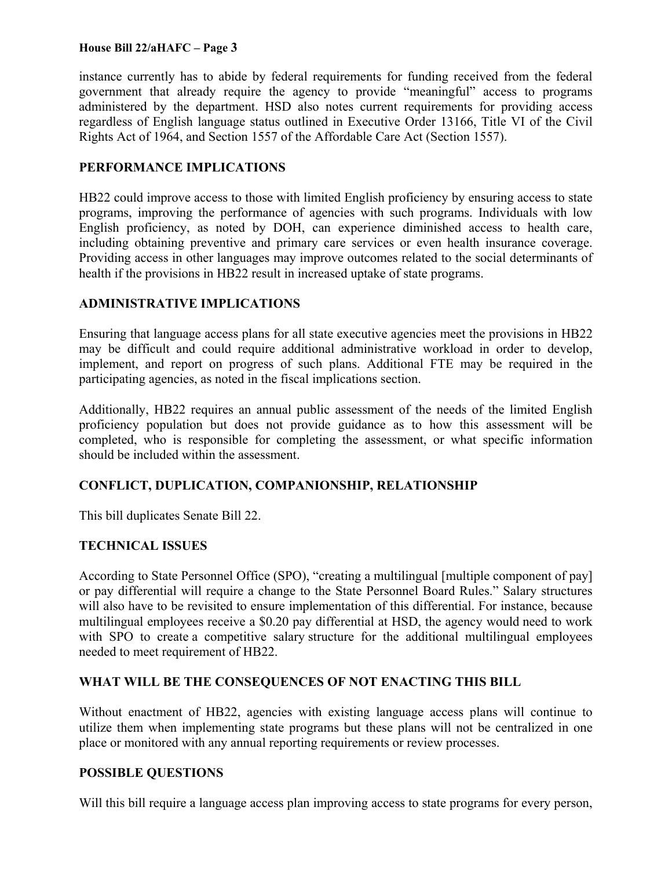### **House Bill 22/aHAFC – Page 3**

instance currently has to abide by federal requirements for funding received from the federal government that already require the agency to provide "meaningful" access to programs administered by the department. HSD also notes current requirements for providing access regardless of English language status outlined in Executive Order 13166, Title VI of the Civil Rights Act of 1964, and Section 1557 of the Affordable Care Act (Section 1557).

#### **PERFORMANCE IMPLICATIONS**

HB22 could improve access to those with limited English proficiency by ensuring access to state programs, improving the performance of agencies with such programs. Individuals with low English proficiency, as noted by DOH, can experience diminished access to health care, including obtaining preventive and primary care services or even health insurance coverage. Providing access in other languages may improve outcomes related to the social determinants of health if the provisions in HB22 result in increased uptake of state programs.

### **ADMINISTRATIVE IMPLICATIONS**

Ensuring that language access plans for all state executive agencies meet the provisions in HB22 may be difficult and could require additional administrative workload in order to develop, implement, and report on progress of such plans. Additional FTE may be required in the participating agencies, as noted in the fiscal implications section.

Additionally, HB22 requires an annual public assessment of the needs of the limited English proficiency population but does not provide guidance as to how this assessment will be completed, who is responsible for completing the assessment, or what specific information should be included within the assessment.

## **CONFLICT, DUPLICATION, COMPANIONSHIP, RELATIONSHIP**

This bill duplicates Senate Bill 22.

## **TECHNICAL ISSUES**

According to State Personnel Office (SPO), "creating a multilingual [multiple component of pay] or pay differential will require a change to the State Personnel Board Rules." Salary structures will also have to be revisited to ensure implementation of this differential. For instance, because multilingual employees receive a \$0.20 pay differential at HSD, the agency would need to work with SPO to create a competitive salary structure for the additional multilingual employees needed to meet requirement of HB22.

## **WHAT WILL BE THE CONSEQUENCES OF NOT ENACTING THIS BILL**

Without enactment of HB22, agencies with existing language access plans will continue to utilize them when implementing state programs but these plans will not be centralized in one place or monitored with any annual reporting requirements or review processes.

#### **POSSIBLE QUESTIONS**

Will this bill require a language access plan improving access to state programs for every person,